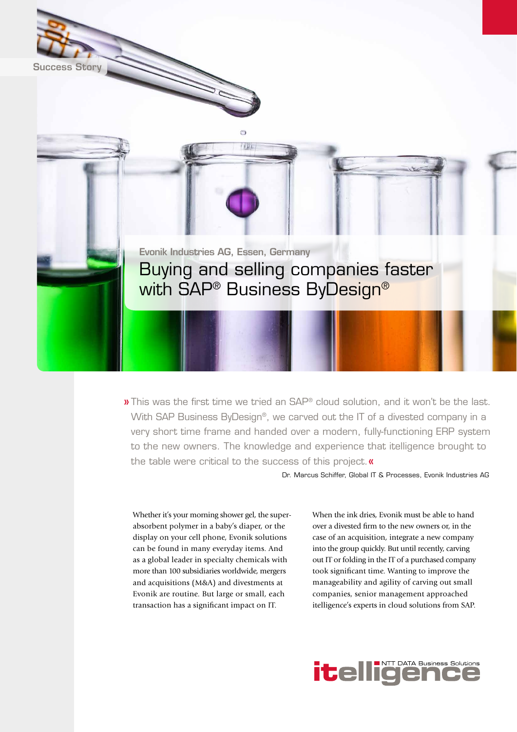

» This was the first time we tried an SAP® cloud solution, and it won't be the last. the table were critical to the success of this project.  $\bm{\kappa}$ With SAP Business ByDesign®, we carved out the IT of a divested company in a very short time frame and handed over a modern, fully-functioning ERP system to the new owners. The knowledge and experience that itelligence brought to

Dr. Marcus Schiffer, Global IT & Processes, Evonik Industries AG

Whether it's your morning shower gel, the superabsorbent polymer in a baby's diaper, or the display on your cell phone, Evonik solutions can be found in many everyday items. And as a global leader in specialty chemicals with more than 100 subsidiaries worldwide, mergers and acquisitions (M&A) and divestments at Evonik are routine. But large or small, each transaction has a significant impact on IT.

When the ink dries, Evonik must be able to hand over a divested firm to the new owners or, in the case of an acquisition, integrate a new company into the group quickly. But until recently, carving out IT or folding in the IT of a purchased company took significant time. Wanting to improve the manageability and agility of carving out small companies, senior management approached itelligence's experts in cloud solutions from SAP.